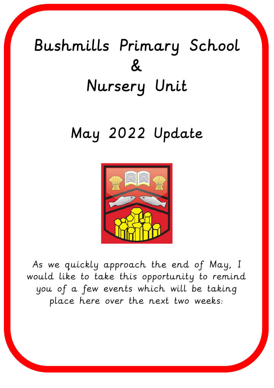# Bushmills Primary School  $\mathcal{R}$ Nursery Unit

## May 2022 Update



As we quickly approach the end of May, I would like to take this opportunity to remind you of a few events which will be taking place here over the next two weeks: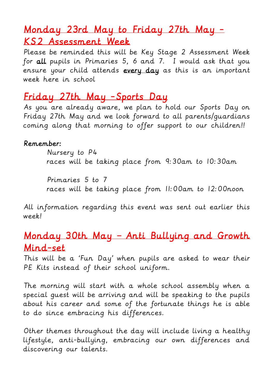## Monday 23rd May to Friday 27th May - KS2 Assessment Week

Please be reminded this will be Key Stage 2 Assessment Week for all pupils in Primaries 5, 6 and 7. I would ask that you ensure your child attends every day as this is an important week here in school

## Friday 27th May -Sports Day

As you are already aware, we plan to hold our Sports Day on Friday 27th May and we look forward to all parents/guardians coming along that morning to offer support to our children!!

#### Remember:

Nursery to P4 races will be taking place from 9:30am to 10:30am

Primaries 5 to 7 races will be taking place from 11:00am to 12:00noon

All information regarding this event was sent out earlier this week!

## Monday 30th May – Anti Bullying and Growth Mind-set

This will be a 'Fun Day' when pupils are asked to wear their PE Kits instead of their school uniform.

The morning will start with a whole school assembly when a special guest will be arriving and will be speaking to the pupils about his career and some of the fortunate things he is able to do since embracing his differences.

Other themes throughout the day will include living a healthy lifestyle, anti-bullying, embracing our own differences and discovering our talents.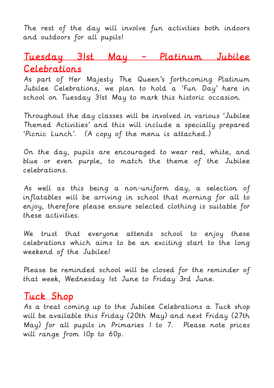The rest of the day will involve fun activities both indoors and outdoors for all pupils!

## Tuesday 31st May – Platinum Jubilee Celebrations

As part of Her Majesty The Queen's forthcoming Platinum Jubilee Celebrations, we plan to hold a 'Fun Day' here in school on Tuesday 31st May to mark this historic occasion.

Throughout the day classes will be involved in various 'Jubilee Themed Activities' and this will include a specially prepared 'Picnic Lunch'. (A copy of the menu is attached.)

On the day, pupils are encouraged to wear red, white, and blue or even purple, to match the theme of the Jubilee celebrations.

As well as this being a non-uniform day, a selection of inflatables will be arriving in school that morning for all to enjoy, therefore please ensure selected clothing is suitable for these activities.

We trust that everyone attends school to enjoy these celebrations which aims to be an exciting start to the long weekend of the Jubilee!

Please be reminded school will be closed for the reminder of that week, Wednesday 1st June to Friday 3rd June.

### Tuck Shop

As a treat coming up to the Jubilee Celebrations a Tuck shop will be available this Friday (20th May) and next Friday (27th May) for all pupils in Primaries 1 to 7. Please note prices will range from 10p to 60p.